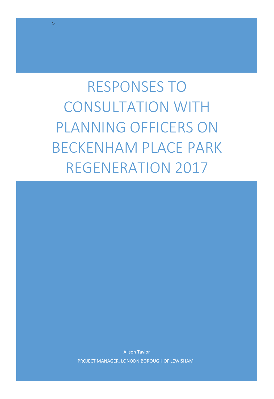RESPONSES TO CONSULTATION WITH PLANNING OFFICERS ON BECKENHAM PLACE PARK REGENERATION 2017

o

Alison Taylor PROJECT MANAGER, LONODN BOROUGH OF LEWISHAM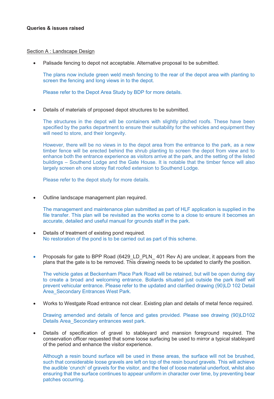## Section A : Landscape Design

-Palisade fencing to depot not acceptable. Alternative proposal to be submitted.

The plans now include green weld mesh fencing to the rear of the depot area with planting to screen the fencing and long views in to the depot.

Please refer to the Depot Area Study by BDP for more details.

-Details of materials of proposed depot structures to be submitted.

The structures in the depot will be containers with slightly pitched roofs. These have been specified by the parks department to ensure their suitability for the vehicles and equipment they will need to store, and their longevity.

However, there will be no views in to the depot area from the entrance to the park, as a new timber fence will be erected behind the shrub planting to screen the depot from view and to enhance both the entrance experience as visitors arrive at the park, and the setting of the listed buildings – Southend Lodge and the Gate House. It is notable that the timber fence will also largely screen eh one storey flat roofed extension to Southend Lodge.

Please refer to the depot study for more details.

-Outline landscape management plan required.

The management and maintenance plan submitted as part of HLF application is supplied in the file transfer. This plan will be revisited as the works come to a close to ensure it becomes an accurate, detailed and useful manual for grounds staff in the park.

- $\bullet$  Details of treatment of existing pond required. No restoration of the pond is to be carried out as part of this scheme.
- -Proposals for gate to BPP Road (6429 LD PLN 401 Rev A) are unclear, it appears from the plans that the gate is to be removed. This drawing needs to be updated to clarify the position.

The vehicle gates at Beckenham Place Park Road will be retained, but will be open during day to create a broad and welcoming entrance. Bollards situated just outside the park itself will prevent vehicular entrance. Please refer to the updated and clarified drawing (90)LD 102 Detail Area Secondary Entrances West Park.

-Works to Westgate Road entrance not clear. Existing plan and details of metal fence required.

Drawing amended and details of fence and gates provided. Please see drawing (90)LD102 Details Area\_Secondary entrances west park.

 $\bullet$  Details of specification of gravel to stableyard and mansion foreground required. The conservation officer requested that some loose surfacing be used to mirror a typical stableyard of the period and enhance the visitor experience.

Although a resin bound surface will be used in these areas, the surface will not be brushed, such that considerable loose gravels are left on top of the resin bound gravels. This will achieve the audible 'crunch' of gravels for the visitor, and the feel of loose material underfoot, whilst also ensuring that the surface continues to appear uniform in character over time, by preventing bear patches occurring.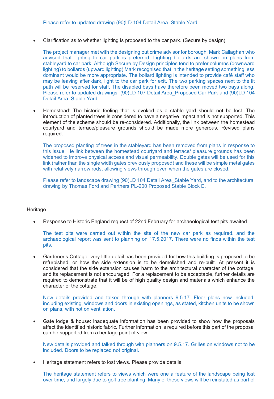Please refer to updated drawing (90)LD 104 Detail Area\_Stable Yard.

-Clarification as to whether lighting is proposed to the car park. (Secure by design)

The project manager met with the designing out crime advisor for borough, Mark Callaghan who advised that lighting to car park is preferred. Lighting bollards are shown on plans from stableyard to car park. Although Secure by Design principles tend to prefer columns (downward lighting) to bollards (upward lighting) Mark recognised that in the heritage setting something less dominant would be more appropriate. The bollard lighting is intended to provide café staff who may be leaving after dark, light to the car park for exit. The two parking spaces next to the lit path will be reserved for staff. The disabled bays have therefore been moved two bays along. Please refer to updated drawings (90)LD 107 Detail Area\_Proposed Car Park and (90)LD 104 Detail Area\_Stable Yard.

- Homestead: The historic feeling that is evoked as a stable yard should not be lost. The introduction of planted trees is considered to have a negative impact and is not supported. This element of the scheme should be re-considered. Additionally, the link between the homestead courtyard and terrace/pleasure grounds should be made more generous. Revised plans required.

The proposed planting of trees in the stableyard has been removed from plans in response to this issue. He link between the homestead courtyard and terrace/ pleasure grounds has been widened to improve physical access and visual permeability. Double gates will be used for this link (rather than the single width gates previously proposed) and these will be simple metal gates with relatively narrow rods, allowing views through even when the gates are closed.

Please refer to landscape drawing (90)LD 104 Detail Area Stable Yard, and to the architectural drawing by Thomas Ford and Partners PL-200 Proposed Stable Block E.

## **Heritage**

-Response to Historic England request of 22nd February for archaeological test pits awaited

The test pits were carried out within the site of the new car park as required. and the archaeological report was sent to planning on 17.5.2017. There were no finds within the test pits.

- Gardener's Cottage: very little detail has been provided for how this building is proposed to be refurbished, or how the side extension is to be demolished and re-built. At present it is considered that the side extension causes harm to the architectural character of the cottage, and its replacement is not encouraged. For a replacement to be acceptable, further details are required to demonstrate that it will be of high quality design and materials which enhance the character of the cottage.

New details provided and talked through with planners 9.5.17. Floor plans now included, including existing, windows and doors in existing openings, as stated, kitchen units to be shown on plans, with not on ventilation.

 $\bullet$  Gate lodge & house: inadequate information has been provided to show how the proposals affect the identified historic fabric. Further information is required before this part of the proposal can be supported from a heritage point of view.

New details provided and talked through with planners on 9.5.17. Grilles on windows not to be included. Doors to be replaced not original.

-Heritage statement refers to lost views. Please provide details

The heritage statement refers to views which were one a feature of the landscape being lost over time, and largely due to golf tree planting. Many of these views will be reinstated as part of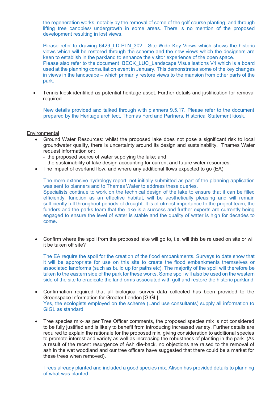the regeneration works, notably by the removal of some of the golf course planting, and through lifting tree canopies/ undergrowth in some areas. There is no mention of the proposed development resulting in lost views.

Please refer to drawing 6429 LD-PLN 302 - Site Wide Key Views which shows the historic views which will be restored through the scheme and the new views which the designers are keen to establish in the parkland to enhance the visitor experience of the open space. Please also refer to the document BECK\_LUC\_Landscape Visualisations V1 which is a board used at the planning consultation event in January. This demonstrates some of the key changes in views in the landscape – which primarily restore views to the mansion from other parts of the park.

- Tennis kiosk identified as potential heritage asset. Further details and justification for removal required.

New details provided and talked through with planners 9.5.17. Please refer to the document prepared by the Heritage architect, Thomas Ford and Partners, Historical Statement kiosk.

## **Environmental**

- - Ground Water Resources: whilst the proposed lake does not pose a significant risk to local groundwater quality, there is uncertainty around its design and sustainability. Thames Water request information on:
	- the proposed source of water supplying the lake; and
	- the sustainability of lake design accounting for current and future water resources.
- The impact of overland flow, and where any additional flows expected to go (EA)

The more extensive hydrology report, not initially submitted as part of the planning application was sent to planners and to Thames Water to address these queries. Specialists continue to work on the technical design of the lake to ensure that it can be filled efficiently, function as an effective habitat, will be aesthetically pleasing and will remain sufficiently full throughout periods of drought. It is of utmost importance to the project team, the funders and the parks team that the lake is a success and further experts are currently being engaged to ensure the level of water is stable and the quality of water is high for decades to come.

- Confirm where the spoil from the proposed lake will go to, i.e. will this be re used on site or will it be taken off site?

The EA require the spoil for the creation of the flood embankments. Surveys to date show that it will be appropriate for use on this site to create the flood embankments themselves or associated landforms (such as build up for paths etc). The majority of the spoil will therefore be taken to the eastern side of the park for these works. Some spoil will also be used on the western side of the site to eradicate the landforms associated with golf and restore the historic parkland.

- $\bullet$  Confirmation required that all biological survey data collected has been provided to the Greenspace Information for Greater London [GIGL] Yes, the ecologists employed on the scheme (Land use consultants) supply all information to GIGL as standard.
- $\bullet$  Tree species mix- as per Tree Officer comments, the proposed species mix is not considered to be fully justified and is likely to benefit from introducing increased variety. Further details are required to explain the rationale for the proposed mix, giving consideration to additional species to promote interest and variety as well as increasing the robustness of planting in the park. (As a result of the recent resurgence of Ash die-back, no objections are raised to the removal of ash in the wet woodland and our tree officers have suggested that there could be a market for these trees when removed).

Trees already planted and included a good species mix. Alison has provided details to planning of what was planted.